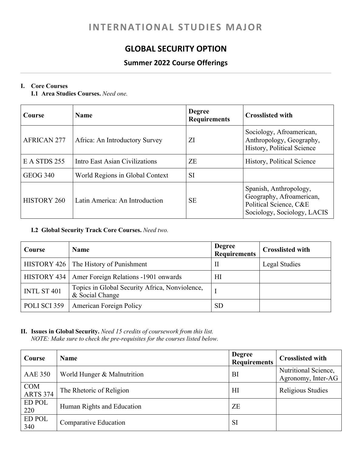# **INTERNATIONAL STUDIES MAJOR**

### **GLOBAL SECURITY OPTION**

### **Summer 2022 Course Offerings**

#### **I. Core Courses**

**I.1 Area Studies Courses.** *Need one.*

| Course             | <b>Name</b>                     | <b>Degree</b><br><b>Requirements</b> | <b>Crosslisted with</b>                                                                                     |
|--------------------|---------------------------------|--------------------------------------|-------------------------------------------------------------------------------------------------------------|
| <b>AFRICAN 277</b> | Africa: An Introductory Survey  | ZI                                   | Sociology, Afroamerican,<br>Anthropology, Geography,<br>History, Political Science                          |
| E A STDS 255       | Intro East Asian Civilizations  | ZE                                   | History, Political Science                                                                                  |
| <b>GEOG 340</b>    | World Regions in Global Context | <b>SI</b>                            |                                                                                                             |
| <b>HISTORY 260</b> | Latin America: An Introduction  | <b>SE</b>                            | Spanish, Anthropology,<br>Geography, Afroamerican,<br>Political Science, C&E<br>Sociology, Sociology, LACIS |

#### **I.2 Global Security Track Core Courses.** *Need two.*

| Course       | <b>Name</b>                                                       | <b>Degree</b><br><b>Requirements</b> | <b>Crosslisted with</b> |
|--------------|-------------------------------------------------------------------|--------------------------------------|-------------------------|
|              | HISTORY 426   The History of Punishment                           | П                                    | Legal Studies           |
|              | HISTORY 434   Amer Foreign Relations -1901 onwards                | HІ                                   |                         |
| INTL ST 401  | Topics in Global Security Africa, Nonviolence,<br>& Social Change |                                      |                         |
| POLI SCI 359 | <b>American Foreign Policy</b>                                    | SD                                   |                         |

## **II. Issues in Global Security.** *Need 15 credits of coursework from this list.*

*NOTE: Make sure to check the pre-requisites for the courses listed below.* 

| Course                        | <b>Name</b>                 | <b>Degree</b><br><b>Requirements</b> | <b>Crosslisted with</b>                    |
|-------------------------------|-----------------------------|--------------------------------------|--------------------------------------------|
| <b>AAE 350</b>                | World Hunger & Malnutrition | BI                                   | Nutritional Science,<br>Agronomy, Inter-AG |
| <b>COM</b><br><b>ARTS 374</b> | The Rhetoric of Religion    | H1                                   | Religious Studies                          |
| ED POL<br>220                 | Human Rights and Education  | ZE                                   |                                            |
| <b>ED POL</b><br>340          | Comparative Education       | <b>SI</b>                            |                                            |